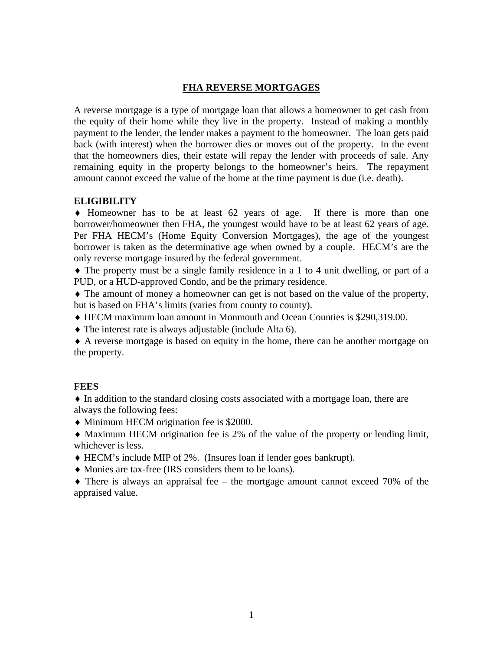# **FHA REVERSE MORTGAGES**

A reverse mortgage is a type of mortgage loan that allows a homeowner to get cash from the equity of their home while they live in the property. Instead of making a monthly payment to the lender, the lender makes a payment to the homeowner. The loan gets paid back (with interest) when the borrower dies or moves out of the property. In the event that the homeowners dies, their estate will repay the lender with proceeds of sale. Any remaining equity in the property belongs to the homeowner's heirs. The repayment amount cannot exceed the value of the home at the time payment is due (i.e. death).

## **ELIGIBILITY**

♦ Homeowner has to be at least 62 years of age. If there is more than one borrower/homeowner then FHA, the youngest would have to be at least 62 years of age. Per FHA HECM's (Home Equity Conversion Mortgages), the age of the youngest borrower is taken as the determinative age when owned by a couple. HECM's are the only reverse mortgage insured by the federal government.

♦ The property must be a single family residence in a 1 to 4 unit dwelling, or part of a PUD, or a HUD-approved Condo, and be the primary residence.

♦ The amount of money a homeowner can get is not based on the value of the property, but is based on FHA's limits (varies from county to county).

- ♦ HECM maximum loan amount in Monmouth and Ocean Counties is \$290,319.00.
- ♦ The interest rate is always adjustable (include Alta 6).

♦ A reverse mortgage is based on equity in the home, there can be another mortgage on the property.

# **FEES**

♦ In addition to the standard closing costs associated with a mortgage loan, there are always the following fees:

- ♦ Minimum HECM origination fee is \$2000.
- ♦ Maximum HECM origination fee is 2% of the value of the property or lending limit, whichever is less.
- ♦ HECM's include MIP of 2%. (Insures loan if lender goes bankrupt).
- ♦ Monies are tax-free (IRS considers them to be loans).

♦ There is always an appraisal fee – the mortgage amount cannot exceed 70% of the appraised value.